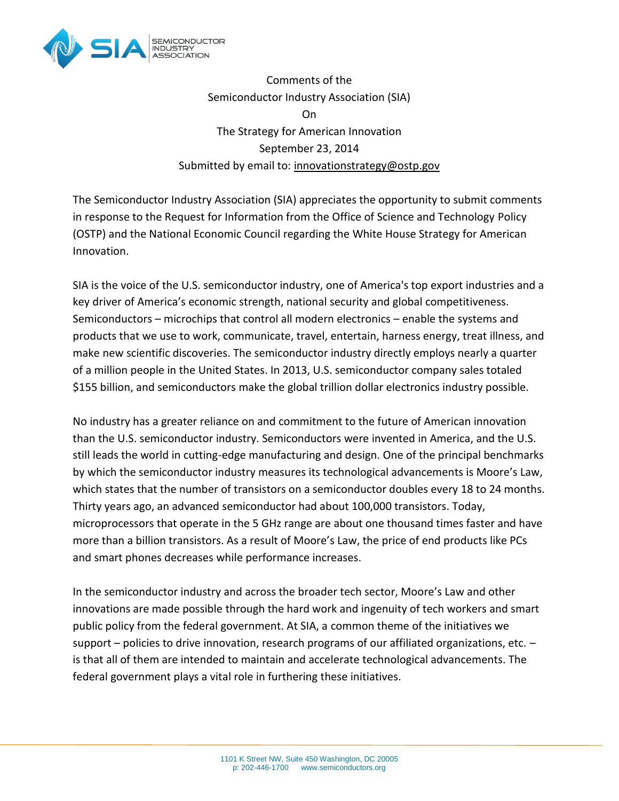

Comments of the Semiconductor Industry Association (SIA) On The Strategy for American Innovation September 23, 2014 Submitted by email to: [innovationstrategy@ostp.gov](mailto:innovationstrategy@ostp.gov)

The Semiconductor Industry Association (SIA) appreciates the opportunity to submit comments in response to the Request for Information from the Office of Science and Technology Policy (OSTP) and the National Economic Council regarding the White House Strategy for American Innovation.

SIA is the voice of the U.S. semiconductor industry, one of America's top export industries and a key driver of America's economic strength, national security and global competitiveness. Semiconductors – microchips that control all modern electronics – enable the systems and products that we use to work, communicate, travel, entertain, harness energy, treat illness, and make new scientific discoveries. The semiconductor industry directly employs nearly a quarter of a million people in the United States. In 2013, U.S. semiconductor company sales totaled \$155 billion, and semiconductors make the global trillion dollar electronics industry possible.

No industry has a greater reliance on and commitment to the future of American innovation than the U.S. semiconductor industry. Semiconductors were invented in America, and the U.S. still leads the world in cutting-edge manufacturing and design. One of the principal benchmarks by which the semiconductor industry measures its technological advancements is Moore's Law, which states that the number of transistors on a semiconductor doubles every 18 to 24 months. Thirty years ago, an advanced semiconductor had about 100,000 transistors. Today, microprocessors that operate in the 5 GHz range are about one thousand times faster and have more than a billion transistors. As a result of Moore's Law, the price of end products like PCs and smart phones decreases while performance increases.

In the semiconductor industry and across the broader tech sector, Moore's Law and other innovations are made possible through the hard work and ingenuity of tech workers and smart public policy from the federal government. At SIA, a common theme of the initiatives we support – policies to drive innovation, research programs of our affiliated organizations, etc. – is that all of them are intended to maintain and accelerate technological advancements. The federal government plays a vital role in furthering these initiatives.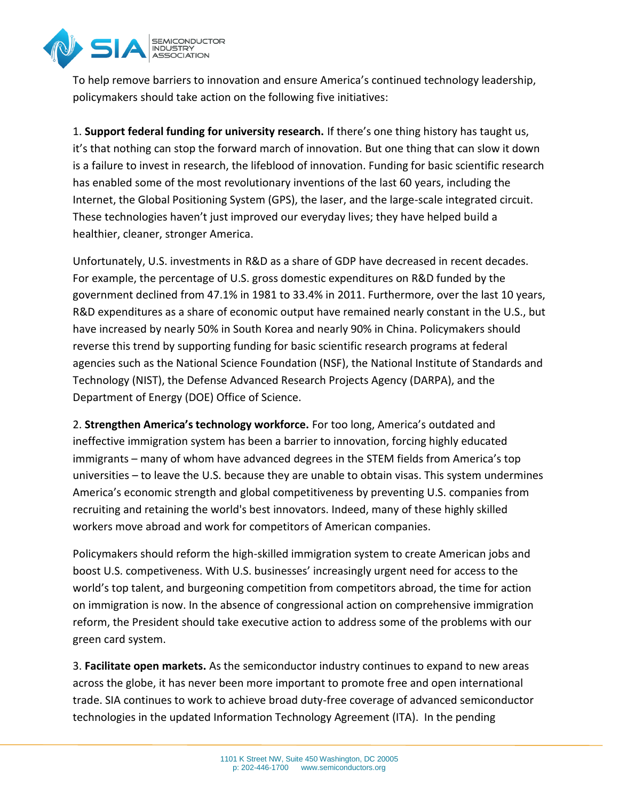

To help remove barriers to innovation and ensure America's continued technology leadership, policymakers should take action on the following five initiatives:

1. **Support federal funding for university research.** If there's one thing history has taught us, it's that nothing can stop the forward march of innovation. But one thing that can slow it down is a failure to invest in research, the lifeblood of innovation. Funding for basic scientific research has enabled some of the most revolutionary inventions of the last 60 years, including the Internet, the Global Positioning System (GPS), the laser, and the large-scale integrated circuit. These technologies haven't just improved our everyday lives; they have helped build a healthier, cleaner, stronger America.

Unfortunately, U.S. investments in R&D as a share of GDP have decreased in recent decades. For example, the percentage of U.S. gross domestic expenditures on R&D funded by the government declined from 47.1% in 1981 to 33.4% in 2011. Furthermore, over the last 10 years, R&D expenditures as a share of economic output have remained nearly constant in the U.S., but have increased by nearly 50% in South Korea and nearly 90% in China. Policymakers should reverse this trend by supporting funding for basic scientific research programs at federal agencies such as the National Science Foundation (NSF), the National Institute of Standards and Technology (NIST), the Defense Advanced Research Projects Agency (DARPA), and the Department of Energy (DOE) Office of Science.

2. **Strengthen America's technology workforce.** For too long, America's outdated and ineffective immigration system has been a barrier to innovation, forcing highly educated immigrants – many of whom have advanced degrees in the STEM fields from America's top universities – to leave the U.S. because they are unable to obtain visas. This system undermines America's economic strength and global competitiveness by preventing U.S. companies from recruiting and retaining the world's best innovators. Indeed, many of these highly skilled workers move abroad and work for competitors of American companies.

Policymakers should reform the high-skilled immigration system to create American jobs and boost U.S. competiveness. With U.S. businesses' increasingly urgent need for access to the world's top talent, and burgeoning competition from competitors abroad, the time for action on immigration is now. In the absence of congressional action on comprehensive immigration reform, the President should take executive action to address some of the problems with our green card system.

3. **Facilitate open markets.** As the semiconductor industry continues to expand to new areas across the globe, it has never been more important to promote free and open international trade. SIA continues to work to achieve broad duty-free coverage of advanced semiconductor technologies in the updated Information Technology Agreement (ITA). In the pending